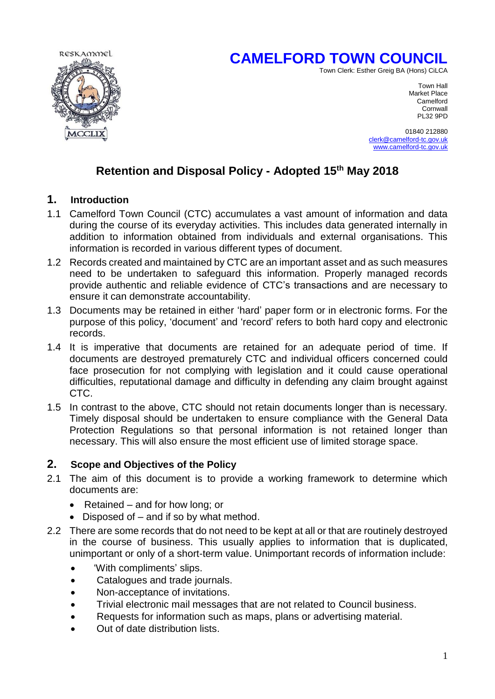# **CAMELFORD TOWN COUNCIL**





Town Hall Market Place<br>Camelford **Camelford Camelford Camelford Cornwall** PL32 9PD

> 01840 212880 [clerk@camelford-tc.gov.uk](mailto:clerk@camelford-tc.gov.uk) [www.camelford-tc.gov.uk](http://www.camelfordtown.net/)

# **Retention and Disposal Policy - Adopted 15th May 2018**

### **1. Introduction**

- 1.1 Camelford Town Council (CTC) accumulates a vast amount of information and data during the course of its everyday activities. This includes data generated internally in addition to information obtained from individuals and external organisations. This information is recorded in various different types of document.
- 1.2 Records created and maintained by CTC are an important asset and as such measures need to be undertaken to safeguard this information. Properly managed records provide authentic and reliable evidence of CTC's transactions and are necessary to ensure it can demonstrate accountability.
- 1.3 Documents may be retained in either 'hard' paper form or in electronic forms. For the purpose of this policy, 'document' and 'record' refers to both hard copy and electronic records.
- 1.4 It is imperative that documents are retained for an adequate period of time. If documents are destroyed prematurely CTC and individual officers concerned could face prosecution for not complying with legislation and it could cause operational difficulties, reputational damage and difficulty in defending any claim brought against CTC.
- 1.5 In contrast to the above, CTC should not retain documents longer than is necessary. Timely disposal should be undertaken to ensure compliance with the General Data Protection Regulations so that personal information is not retained longer than necessary. This will also ensure the most efficient use of limited storage space.

#### **2. Scope and Objectives of the Policy**

- 2.1 The aim of this document is to provide a working framework to determine which documents are:
	- Retained and for how long; or
	- Disposed of and if so by what method.
- 2.2 There are some records that do not need to be kept at all or that are routinely destroyed in the course of business. This usually applies to information that is duplicated, unimportant or only of a short-term value. Unimportant records of information include:
	- 'With compliments' slips.
	- Catalogues and trade journals.
	- Non-acceptance of invitations.
	- Trivial electronic mail messages that are not related to Council business.
	- Requests for information such as maps, plans or advertising material.
	- Out of date distribution lists.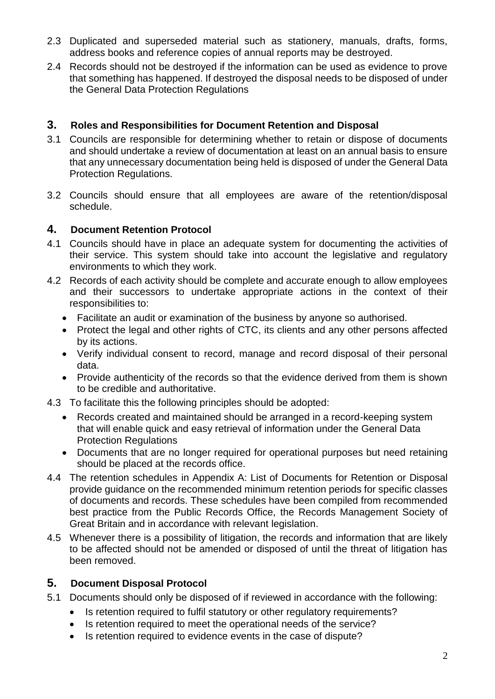- 2.3 Duplicated and superseded material such as stationery, manuals, drafts, forms, address books and reference copies of annual reports may be destroyed.
- 2.4 Records should not be destroyed if the information can be used as evidence to prove that something has happened. If destroyed the disposal needs to be disposed of under the General Data Protection Regulations

### **3. Roles and Responsibilities for Document Retention and Disposal**

- 3.1 Councils are responsible for determining whether to retain or dispose of documents and should undertake a review of documentation at least on an annual basis to ensure that any unnecessary documentation being held is disposed of under the General Data Protection Regulations.
- 3.2 Councils should ensure that all employees are aware of the retention/disposal schedule.

#### **4. Document Retention Protocol**

- 4.1 Councils should have in place an adequate system for documenting the activities of their service. This system should take into account the legislative and regulatory environments to which they work.
- 4.2 Records of each activity should be complete and accurate enough to allow employees and their successors to undertake appropriate actions in the context of their responsibilities to:
	- Facilitate an audit or examination of the business by anyone so authorised.
	- Protect the legal and other rights of CTC, its clients and any other persons affected by its actions.
	- Verify individual consent to record, manage and record disposal of their personal data.
	- Provide authenticity of the records so that the evidence derived from them is shown to be credible and authoritative.
- 4.3 To facilitate this the following principles should be adopted:
	- Records created and maintained should be arranged in a record-keeping system that will enable quick and easy retrieval of information under the General Data Protection Regulations
	- Documents that are no longer required for operational purposes but need retaining should be placed at the records office.
- 4.4 The retention schedules in Appendix A: List of Documents for Retention or Disposal provide guidance on the recommended minimum retention periods for specific classes of documents and records. These schedules have been compiled from recommended best practice from the Public Records Office, the Records Management Society of Great Britain and in accordance with relevant legislation.
- 4.5 Whenever there is a possibility of litigation, the records and information that are likely to be affected should not be amended or disposed of until the threat of litigation has been removed.

# **5. Document Disposal Protocol**

- 5.1 Documents should only be disposed of if reviewed in accordance with the following:
	- Is retention required to fulfil statutory or other regulatory requirements?
	- Is retention required to meet the operational needs of the service?
	- Is retention required to evidence events in the case of dispute?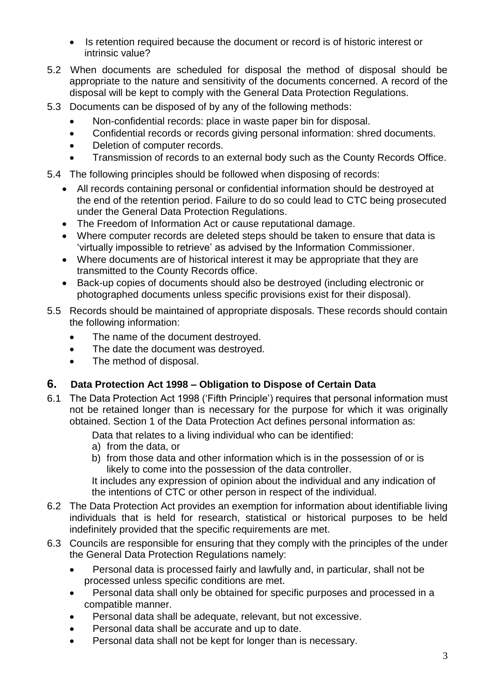- Is retention required because the document or record is of historic interest or intrinsic value?
- 5.2 When documents are scheduled for disposal the method of disposal should be appropriate to the nature and sensitivity of the documents concerned. A record of the disposal will be kept to comply with the General Data Protection Regulations.
- 5.3 Documents can be disposed of by any of the following methods:
	- Non-confidential records: place in waste paper bin for disposal.
	- Confidential records or records giving personal information: shred documents.
	- Deletion of computer records.
	- Transmission of records to an external body such as the County Records Office.

5.4 The following principles should be followed when disposing of records:

- All records containing personal or confidential information should be destroyed at the end of the retention period. Failure to do so could lead to CTC being prosecuted under the General Data Protection Regulations.
- The Freedom of Information Act or cause reputational damage.
- Where computer records are deleted steps should be taken to ensure that data is 'virtually impossible to retrieve' as advised by the Information Commissioner.
- Where documents are of historical interest it may be appropriate that they are transmitted to the County Records office.
- Back-up copies of documents should also be destroyed (including electronic or photographed documents unless specific provisions exist for their disposal).
- 5.5 Records should be maintained of appropriate disposals. These records should contain the following information:
	- The name of the document destroyed.
	- The date the document was destroyed.
	- The method of disposal.

# **6. Data Protection Act 1998 – Obligation to Dispose of Certain Data**

- 6.1 The Data Protection Act 1998 ('Fifth Principle') requires that personal information must not be retained longer than is necessary for the purpose for which it was originally obtained. Section 1 of the Data Protection Act defines personal information as:
	- Data that relates to a living individual who can be identified:
	- a) from the data, or
	- b) from those data and other information which is in the possession of or is likely to come into the possession of the data controller.

It includes any expression of opinion about the individual and any indication of the intentions of CTC or other person in respect of the individual.

- 6.2 The Data Protection Act provides an exemption for information about identifiable living individuals that is held for research, statistical or historical purposes to be held indefinitely provided that the specific requirements are met.
- 6.3 Councils are responsible for ensuring that they comply with the principles of the under the General Data Protection Regulations namely:
	- Personal data is processed fairly and lawfully and, in particular, shall not be processed unless specific conditions are met.
	- Personal data shall only be obtained for specific purposes and processed in a compatible manner.
	- Personal data shall be adequate, relevant, but not excessive.
	- Personal data shall be accurate and up to date.
	- Personal data shall not be kept for longer than is necessary.